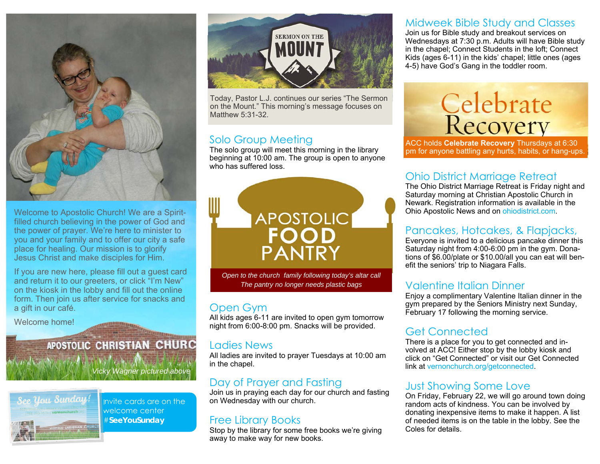

Welcome to Apostolic Church! We are a Spiritfilled church believing in the power of God and the power of prayer. We're here to minister to you and your family and to offer our city a safe place for healing. Our mission is to glorify Jesus Christ and make disciples for Him.

If you are new here, please fill out a guest card and return it to our greeters, or click "I'm New" on the kiosk in the lobby and fill out the online form. Then join us after service for snacks and a gift in our café.

Welcome home!

#### **APOSTOLIC CHRISTIAN CHURC**

*Vicky Wagner pictured above* 



Invite cards are on the welcome center #**SeeYouSunday** 



Today, Pastor L.J. continues our series "The Sermon on the Mount." This morning's message focuses on Matthew 5:31-32.

#### Solo Group Meeting

The solo group will meet this morning in the library beginning at 10:00 am. The group is open to anyone who has suffered loss.



*Open to the church family following today's altar call The pantry no longer needs plastic bags* 

#### Open Gym

All kids ages 6-11 are invited to open gym tomorrow night from 6:00-8:00 pm. Snacks will be provided.

#### Ladies News

All ladies are invited to prayer Tuesdays at 10:00 am in the chapel.

#### Day of Prayer and Fasting

Join us in praying each day for our church and fasting on Wednesday with our church.

#### Free Library Books

Stop by the library for some free books we're giving away to make way for new books.

#### Midweek Bible Study and Classes

Join us for Bible study and breakout services on Wednesdays at 7:30 p.m. Adults will have Bible study in the chapel; Connect Students in the loft; Connect Kids (ages 6-11) in the kids' chapel; little ones (ages 4-5) have God's Gang in the toddler room.

# Celebrate<br>Recovery

ACC holds **Celebrate Recovery** Thursdays at 6:30 pm for anyone battling any hurts, habits, or hang-ups.

#### Ohio District Marriage Retreat

The Ohio District Marriage Retreat is Friday night and Saturday morning at Christian Apostolic Church in Newark. Registration information is available in the Ohio Apostolic News and on ohiodistrict.com.

#### Pancakes, Hotcakes, & Flapjacks,

Everyone is invited to a delicious pancake dinner this Saturday night from 4:00-6:00 pm in the gym. Donations of \$6.00/plate or \$10.00/all you can eat will benefit the seniors' trip to Niagara Falls.

#### Valentine Italian Dinner

Enjoy a complimentary Valentine Italian dinner in the gym prepared by the Seniors Ministry next Sunday, February 17 following the morning service.

#### Get Connected

There is a place for you to get connected and involved at ACC! Either stop by the lobby kiosk and click on "Get Connected" or visit our Get Connected link at vernonchurch.org/getconnected.

#### Just Showing Some Love

On Friday, February 22, we will go around town doing random acts of kindness. You can be involved by donating inexpensive items to make it happen. A list of needed items is on the table in the lobby. See the Coles for details.